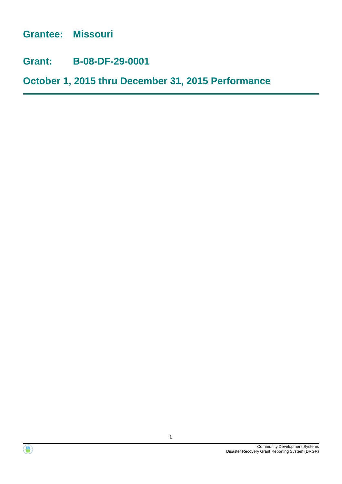**Grantee: Missouri**

**Grant: B-08-DF-29-0001**

**October 1, 2015 thru December 31, 2015 Performance**



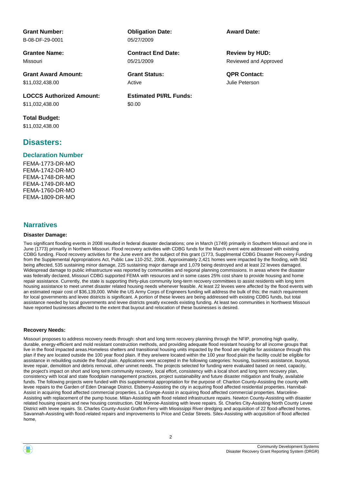**Grant Number:** B-08-DF-29-0001

**Grantee Name:** Missouri

**Grant Award Amount:** \$11,032,438.00

**LOCCS Authorized Amount:** \$11,032,438.00

**Total Budget:** \$11,032,438.00

## **Disasters:**

#### **Declaration Number**

FEMA-1773-DR-MO FEMA-1742-DR-MO FEMA-1748-DR-MO FEMA-1749-DR-MO FEMA-1760-DR-MO FEMA-1809-DR-MO

#### **Narratives**

#### **Disaster Damage:**

**Obligation Date:** 05/27/2009

05/21/2009 **Contract End Date:**

Active

**Estimated PI/RL Funds:** \$0.00

**Award Date:**

Reviewed and Approved **Review by HUD:**

**Grant Status: QPR Contact:** Julie Peterson

Two significant flooding events in 2008 resulted in federal disaster declarations; one in March (1749) primarily in Southern Missouri and one in June (1773) primarily in Northern Missouri. Flood recovery activities with CDBG funds for the March event were addressed with existing CDBG funding. Flood recovery activities for the June event are the subject of this grant (1773, Supplmental CDBG Disaster Recovery Funding from the Supplemental Appropriations Act, Public Law 110-252, 2008.. Approximately 2,421 homes were impacted by the flooding, with 582 being affected, 535 sustaining minor damage, 225 sustaining major damage and 1,079 being destroyed and at least 22 levees damaged. Widespread damage to public infrastructure was reported by communities and regional planning commissions. In areas where the disaster was federally declared, Missouri CDBG supported FEMA with resources and in some cases 25% cost share to provide housing and home repair assistance. Currently, the state is supporting thirty-plus community long-term recovery committees to assist residents with long term housing assistance to meet unmet disaster related housing needs whenever feasible. At least 22 levees were affected by the flood events with an estimated repair cost of \$36,139,000. While the US Army Corps of Engineers funding will address the bulk of this; the match requirement for local governments and levee districts is significant. A portion of these levees are being addressed with existing CDBG funds, but total assistance needed by local governments and levee districts greatly exceeds existing funding. At least two communities in Northwest Missouri have reported businesses affected to the extent that buyout and relocation of these businesses is desired.

#### **Recovery Needs:**

Missouri proposes to address recovery needs through: short and long term recovery planning through the NFIP, promoting high quality, durable, energy-efficient and mold resistant construction methods, and providing adequate flood resistant housing for all income groups that live in the flood impacted areas.Homeless shelters and transitional housing units impacted by the flood are eligible for assistance through this plan if they are located outside the 100 year flood plain. If they are/were located within the 100 year flood plain the facility could be eligible for assistance in rebuilding outside the flood plain. Applications were accepted in the following categories: housing, business assistance, buyout, levee repair, demolition and debris removal, other unmet needs. The projects selected for funding were evaluated based on need, capacity, the project's impact on short and long term community recovery, local effort, consistency with a local short and long term recovery plan, consistency with local and state floodplain management practices, project sustainability and future disaster mitigation and finally, available funds. The following projects were funded with this supplemental appropriation for the purpose of: Chariton County-Assisting the county with levee repairs to the Garden of Eden Drainage District. Elsberry-Assisting the city in acquiring flood affected residential properties. Hannibal-Assist in acquiring flood affected commercial properties. La Grange-Assist in acquiring flood affected commercial properties. Marceline-Assisting with replacement of the pump house. Milan-Assisting with flood related infrastructure repairs. Newton County-Assisting with disaster related housing repairs and new housing construction. Old Monroe-Assisting with levee repairs. St. Charles City-Assisting North County Levee District with levee repairs. St. Charles County-Assist Grafton Ferry with Mississippi River dredging and acquisition of 22 flood-affected homes. Savannah-Assisting with flood-related repairs and improvements to Price and Cedar Streets. Silex-Assisting with acquisition of flood affected home,

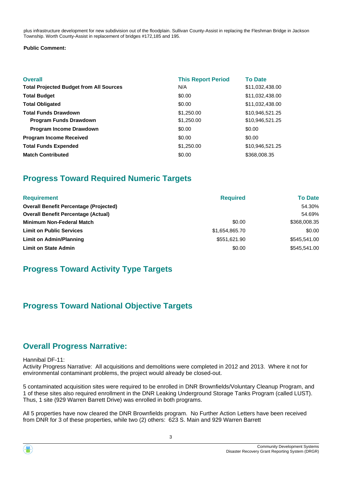plus infrastructure development for new subdivision out of the floodplain. Sullivan County-Assist in replacing the Fleshman Bridge in Jackson Township. Worth County-Assist in replacement of bridges #172,185 and 195.

#### **Public Comment:**

| <b>Overall</b><br><b>Total Projected Budget from All Sources</b> | <b>This Report Period</b><br>N/A | <b>To Date</b><br>\$11,032,438.00 |
|------------------------------------------------------------------|----------------------------------|-----------------------------------|
| <b>Total Budget</b>                                              | \$0.00                           | \$11,032,438.00                   |
| <b>Total Obligated</b>                                           | \$0.00                           | \$11,032,438.00                   |
| <b>Total Funds Drawdown</b>                                      | \$1,250.00                       | \$10,946,521.25                   |
| <b>Program Funds Drawdown</b>                                    | \$1,250.00                       | \$10,946,521.25                   |
| <b>Program Income Drawdown</b>                                   | \$0.00                           | \$0.00                            |
| <b>Program Income Received</b>                                   | \$0.00                           | \$0.00                            |
| <b>Total Funds Expended</b>                                      | \$1,250.00                       | \$10,946,521.25                   |
| <b>Match Contributed</b>                                         | \$0.00                           | \$368,008.35                      |

# **Progress Toward Required Numeric Targets**

| <b>Requirement</b>                            | <b>Required</b> | <b>To Date</b> |
|-----------------------------------------------|-----------------|----------------|
| <b>Overall Benefit Percentage (Projected)</b> |                 | 54.30%         |
| <b>Overall Benefit Percentage (Actual)</b>    |                 | 54.69%         |
| <b>Minimum Non-Federal Match</b>              | \$0.00          | \$368,008.35   |
| <b>Limit on Public Services</b>               | \$1,654,865.70  | \$0.00         |
| Limit on Admin/Planning                       | \$551,621.90    | \$545,541.00   |
| <b>Limit on State Admin</b>                   | \$0.00          | \$545,541.00   |

# **Progress Toward Activity Type Targets**

# **Progress Toward National Objective Targets**

# **Overall Progress Narrative:**

#### Hannibal DF-11:

Activity Progress Narrative: All acquisitions and demolitions were completed in 2012 and 2013. Where it not for environmental contaminant problems, the project would already be closed-out.

5 contaminated acquisition sites were required to be enrolled in DNR Brownfields/Voluntary Cleanup Program, and 1 of these sites also required enrollment in the DNR Leaking Underground Storage Tanks Program (called LUST). Thus, 1 site (929 Warren Barrett Drive) was enrolled in both programs.

All 5 properties have now cleared the DNR Brownfields program. No Further Action Letters have been received from DNR for 3 of these properties, while two (2) others: 623 S. Main and 929 Warren Barrett

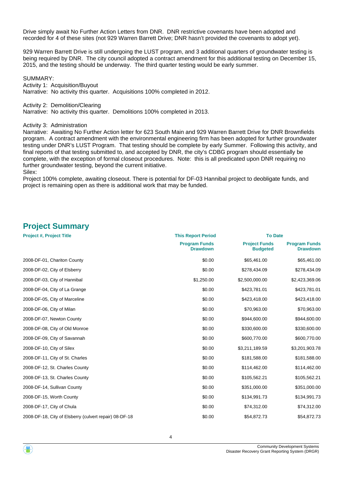Drive simply await No Further Action Letters from DNR. DNR restrictive covenants have been adopted and recorded for 4 of these sites (not 929 Warren Barrett Drive; DNR hasn't provided the covenants to adopt yet).

929 Warren Barrett Drive is still undergoing the LUST program, and 3 additional quarters of groundwater testing is being required by DNR. The city council adopted a contract amendment for this additional testing on December 15, 2015, and the testing should be underway. The third quarter testing would be early summer.

SUMMARY:

Activity 1: Acquisition/Buyout

Narrative: No activity this quarter. Acquisitions 100% completed in 2012.

Activity 2: Demolition/Clearing

Narrative: No activity this quarter. Demolitions 100% completed in 2013.

#### Activity 3: Administration

Narrative: Awaiting No Further Action letter for 623 South Main and 929 Warren Barrett Drive for DNR Brownfields program. A contract amendment with the environmental engineering firm has been adopted for further groundwater testing under DNR's LUST Program. That testing should be complete by early Summer. Following this activity, and final reports of that testing submitted to, and accepted by DNR, the city's CDBG program should essentially be complete, with the exception of formal closeout procedures. Note: this is all predicated upon DNR requiring no further groundwater testing, beyond the current initiative. Silex:

Project 100% complete, awaiting closeout. There is potential for DF-03 Hannibal project to deobligate funds, and project is remaining open as there is additional work that may be funded.

# **Project Summary**

| <b>Project #, Project Title</b><br><b>This Report Period</b> |                                         | <b>To Date</b>                          |                                         |  |
|--------------------------------------------------------------|-----------------------------------------|-----------------------------------------|-----------------------------------------|--|
|                                                              | <b>Program Funds</b><br><b>Drawdown</b> | <b>Project Funds</b><br><b>Budgeted</b> | <b>Program Funds</b><br><b>Drawdown</b> |  |
| 2008-DF-01, Chariton County                                  | \$0.00                                  | \$65,461.00                             | \$65,461.00                             |  |
| 2008-DF-02, City of Elsberry                                 | \$0.00                                  | \$278,434.09                            | \$278,434.09                            |  |
| 2008-DF-03, City of Hannibal                                 | \$1,250.00                              | \$2,500,000.00                          | \$2,423,369.06                          |  |
| 2008-DF-04, City of La Grange                                | \$0.00                                  | \$423,781.01                            | \$423,781.01                            |  |
| 2008-DF-05, City of Marceline                                | \$0.00                                  | \$423,418.00                            | \$423,418.00                            |  |
| 2008-DF-06, City of Milan                                    | \$0.00                                  | \$70,963.00                             | \$70,963.00                             |  |
| 2008-DF-07, Newton County                                    | \$0.00                                  | \$944,600.00                            | \$944,600.00                            |  |
| 2008-DF-08, City of Old Monroe                               | \$0.00                                  | \$330,600.00                            | \$330,600.00                            |  |
| 2008-DF-09, City of Savannah                                 | \$0.00                                  | \$600,770.00                            | \$600,770.00                            |  |
| 2008-DF-10, City of Silex                                    | \$0.00                                  | \$3,211,189.59                          | \$3,201,903.78                          |  |
| 2008-DF-11, City of St. Charles                              | \$0.00                                  | \$181,588.00                            | \$181,588.00                            |  |
| 2008-DF-12, St. Charles County                               | \$0.00                                  | \$114,462.00                            | \$114,462.00                            |  |
| 2008-DF-13, St. Charles County                               | \$0.00                                  | \$105,562.21                            | \$105,562.21                            |  |
| 2008-DF-14, Sullivan County                                  | \$0.00                                  | \$351,000.00                            | \$351,000.00                            |  |
| 2008-DF-15, Worth County                                     | \$0.00                                  | \$134,991.73                            | \$134,991.73                            |  |
| 2008-DF-17, City of Chula                                    | \$0.00                                  | \$74,312.00                             | \$74,312.00                             |  |
| 2008-DF-18, City of Elsberry (culvert repair) 08-DF-18       | \$0.00                                  | \$54,872.73                             | \$54,872.73                             |  |

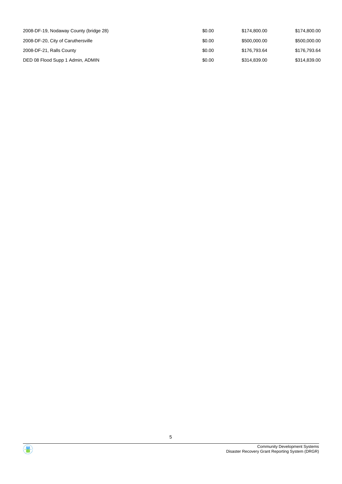| 2008-DF-19, Nodaway County (bridge 28) | \$0.00 | \$174.800.00 | \$174,800.00 |
|----------------------------------------|--------|--------------|--------------|
| 2008-DF-20, City of Caruthersville     | \$0.00 | \$500,000.00 | \$500,000.00 |
| 2008-DF-21, Ralls County               | \$0.00 | \$176,793,64 | \$176.793.64 |
| DED 08 Flood Supp 1 Admin, ADMIN       | \$0.00 | \$314,839.00 | \$314,839.00 |

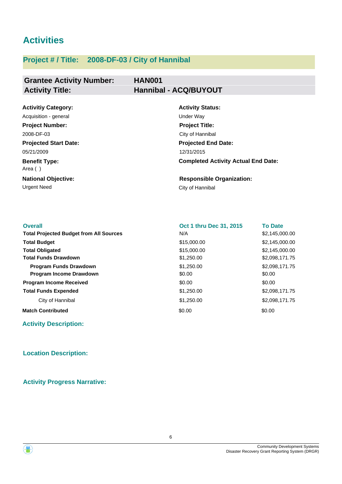# **Activities**

# **Project # / Title: 2008-DF-03 / City of Hannibal**

## **Grantee Activity Number: Activity Title: Hannibal - ACQ/BUYOUT**

# **HAN001**

| <b>Activitiy Category:</b>      | <b>Activity Status:</b>                    |
|---------------------------------|--------------------------------------------|
| Acquisition - general           | Under Way                                  |
| <b>Project Number:</b>          | <b>Project Title:</b>                      |
| 2008-DF-03                      | City of Hannibal                           |
| <b>Projected Start Date:</b>    | <b>Projected End Date:</b>                 |
| 05/21/2009                      | 12/31/2015                                 |
| <b>Benefit Type:</b><br>Area () | <b>Completed Activity Actual End Date:</b> |
| <b>National Objective:</b>      | <b>Responsible Organization:</b>           |
| <b>Urgent Need</b>              | City of Hannibal                           |

| <b>Overall</b>                                 | Oct 1 thru Dec 31, 2015 | <b>To Date</b> |
|------------------------------------------------|-------------------------|----------------|
| <b>Total Projected Budget from All Sources</b> | N/A                     | \$2,145,000.00 |
| <b>Total Budget</b>                            | \$15,000.00             | \$2,145,000.00 |
| <b>Total Obligated</b>                         | \$15,000.00             | \$2,145,000.00 |
| <b>Total Funds Drawdown</b>                    | \$1,250.00              | \$2,098,171.75 |
| <b>Program Funds Drawdown</b>                  | \$1,250,00              | \$2,098,171.75 |
| Program Income Drawdown                        | \$0.00                  | \$0.00         |
| <b>Program Income Received</b>                 | \$0.00                  | \$0.00         |
| <b>Total Funds Expended</b>                    | \$1,250.00              | \$2,098,171.75 |
| City of Hannibal                               | \$1,250.00              | \$2,098,171.75 |
| <b>Match Contributed</b>                       | \$0.00                  | \$0.00         |

**Activity Description:**

## **Location Description:**

**Activity Progress Narrative:**



![](_page_5_Picture_11.jpeg)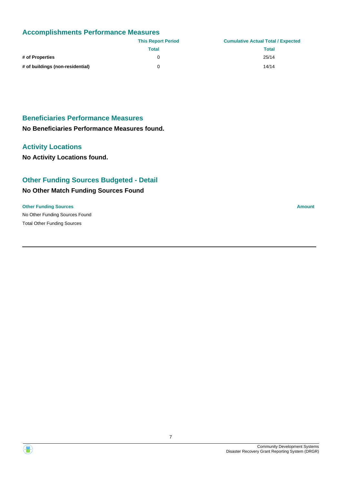## **Accomplishments Performance Measures**

|                                  | <b>This Report Period</b> | <b>Cumulative Actual Total / Expected</b> |
|----------------------------------|---------------------------|-------------------------------------------|
|                                  | Total                     | <b>Total</b>                              |
| # of Properties                  |                           | 25/14                                     |
| # of buildings (non-residential) |                           | 14/14                                     |

## **Beneficiaries Performance Measures**

**No Beneficiaries Performance Measures found.**

## **Activity Locations**

**No Activity Locations found.**

## **Other Funding Sources Budgeted - Detail**

## **No Other Match Funding Sources Found**

#### **Other Funding Sources Amount**

No Other Funding Sources Found Total Other Funding Sources

![](_page_6_Picture_12.jpeg)

![](_page_6_Picture_13.jpeg)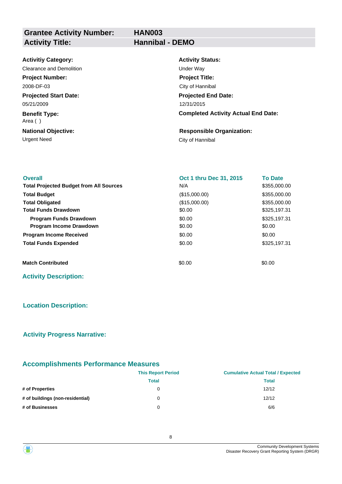**Grantee Activity Number: Activity Title: Hannibal - DEMO**

| <b>HAN003</b> |  |
|---------------|--|
| Hannihal DEM  |  |

| <b>Activitiy Category:</b>      | <b>Activity Status:</b>                    |
|---------------------------------|--------------------------------------------|
| Clearance and Demolition        | Under Way                                  |
| <b>Project Number:</b>          | <b>Project Title:</b>                      |
| 2008-DF-03                      | City of Hannibal                           |
| <b>Projected Start Date:</b>    | <b>Projected End Date:</b>                 |
| 05/21/2009                      | 12/31/2015                                 |
| <b>Benefit Type:</b><br>Area () | <b>Completed Activity Actual End Date:</b> |
| <b>National Objective:</b>      | <b>Responsible Organization:</b>           |
| Urgent Need                     | City of Hannibal                           |

| <b>Overall</b>                                 | Oct 1 thru Dec 31, 2015 | <b>To Date</b> |  |
|------------------------------------------------|-------------------------|----------------|--|
| <b>Total Projected Budget from All Sources</b> | N/A                     | \$355,000.00   |  |
| <b>Total Budget</b>                            | (\$15,000.00)           | \$355,000.00   |  |
| <b>Total Obligated</b>                         | (\$15,000.00)           | \$355,000.00   |  |
| <b>Total Funds Drawdown</b>                    | \$0.00                  | \$325,197.31   |  |
| <b>Program Funds Drawdown</b>                  | \$0.00                  | \$325,197.31   |  |
| <b>Program Income Drawdown</b>                 | \$0.00                  | \$0.00         |  |
| <b>Program Income Received</b>                 | \$0.00                  | \$0.00         |  |
| <b>Total Funds Expended</b>                    | \$0.00                  | \$325,197.31   |  |
| <b>Match Contributed</b>                       | \$0.00                  | \$0.00         |  |
| <b>Activity Description:</b>                   |                         |                |  |

#### **Location Description:**

#### **Activity Progress Narrative:**

# **Accomplishments Performance Measures**

|                                  | <b>This Report Period</b> | <b>Cumulative Actual Total / Expected</b> |
|----------------------------------|---------------------------|-------------------------------------------|
|                                  | Total                     | <b>Total</b>                              |
| # of Properties                  | 0                         | 12/12                                     |
| # of buildings (non-residential) | 0                         | 12/12                                     |
| # of Businesses                  | 0                         | 6/6                                       |

![](_page_7_Picture_9.jpeg)